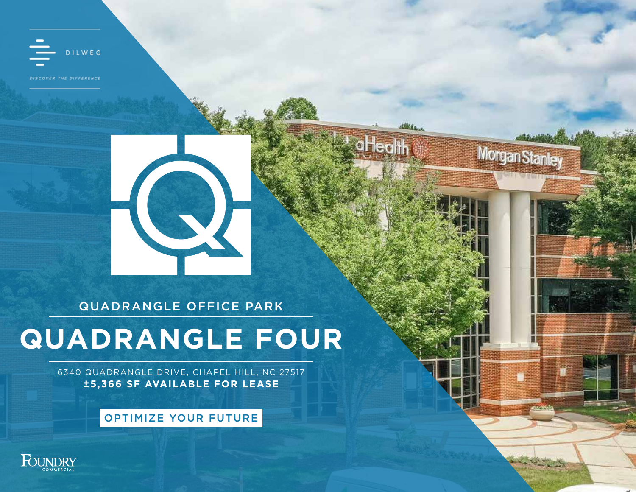

**SCOVER THE DIFFERENCE** 



oHealth

**Morgan Stanley** 

## QUADRANGLE OFFICE PARK

# **QUADRANGLE FOUR**

6340 QUADRANGLE DRIVE, CHAPEL HILL, NC 27517 **±5,366 SF AVAILABLE FOR LEASE**

## OPTIMIZE YOUR FUTURE

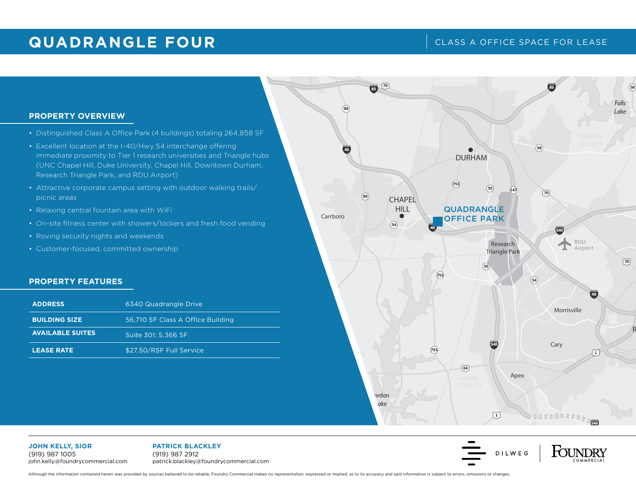## **QUADRANGLE FOUR CLASS A OFFICE SPACE FOR LEASE**

**15**

### **PROPERTY OVERVIEW**

- Distinguished Class A Office Park (4 buildings) totaling 264,858 SF
- Excellent location at the I-40/Hwy 54 interchange offering immediate proximity to Tier 1 research universities and Triangle hubs (UNC Chapel Hill, Duke University, Chapel Hill, Downtown Durham, Research Triangle Park, and RDU Airport)
- Attractive corporate campus setting with outdoor walking trails/ picnic areas
- Relaxing central fountain area with WiFi
- On-site fitness center with showers/lockers and fresh food vending
- Roving security nights and weekends
- Customer-focused, committed ownership

### **PROPERTY FEATURES**

| <b>ADDRESS</b>          | 6340 Quadrangle Drive             |
|-------------------------|-----------------------------------|
| <b>BUILDING SIZE</b>    | 56,710 SF Class A Office Building |
| <b>AVAILABLE SUITES</b> | Suite 301: 5.366 SF               |
| <b>LEASE RATE</b>       | \$27.50/RSF Full Service          |



**JOHN KELLY, SIOR** (919) 987 1005 john.kelly@foundrycommercial.com

**PATRICK BLACKLEY** (919) 987 2912 patrick.blackley@foundrycommercial.com

![](_page_1_Picture_15.jpeg)

![](_page_1_Picture_16.jpeg)

Although the information contained herein was provided by sources believed to be reliable, Foundry Commercial makes no representation, expressed or implied, as to its accuracy and said information is subject to errors, omi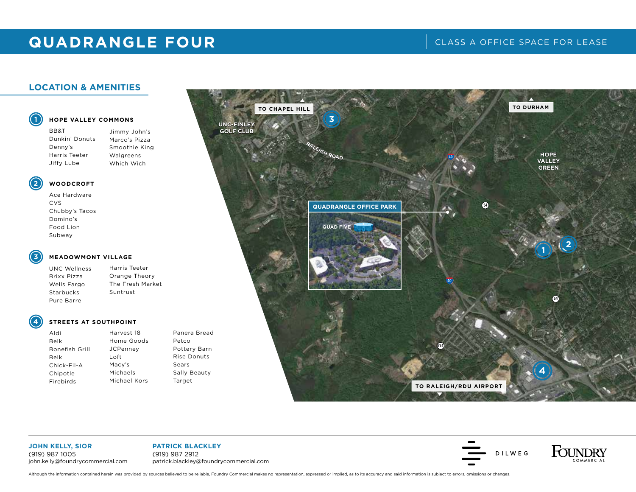## **QUADRANGLE FOUR CLASS A OFFICE SPACE FOR LEASE**

Jimmy John's Marco's Pizza Smoothie King Walgreens Which Wich

## **LOCATION & AMENITIES**

![](_page_2_Picture_3.jpeg)

## **HOPE VALLEY COMMONS**

BB&T Dunkin' Donuts Denny's Harris Teeter Jiffy Lube

**2 WOODCROFT**

Ace Hardware CVS Chubby's Tacos Domino's Food Lion Subway

### **3 MEADOWMONT VILLAGE**

UNC Wellness Brixx Pizza Wells Fargo Starbucks Pure Barre

Orange Theory The Fresh Market Suntrust

Harvest 18

JCPenney Loft Macy's Michaels

Harris Teeter

### **4 STREETS AT SOUTHPOINT**

| iblA           |
|----------------|
| Belk           |
| Bonefish Grill |
| Belk           |
| Chick-Fil-A    |
| Chipotle       |
| Firebirds      |

Home Goods Michael Kors Panera Bread Petco Pottery Barn Rise Donuts Sears Sally Beauty Target

![](_page_2_Picture_14.jpeg)

### **JOHN KELLY, SIOR** (919) 987 1005 john.kelly@foundrycommercial.com

**PATRICK BLACKLEY** (919) 987 2912 patrick.blackley@foundrycommercial.com

![](_page_2_Picture_17.jpeg)

![](_page_2_Picture_18.jpeg)

Although the information contained herein was provided by sources believed to be reliable, Foundry Commercial makes no representation, expressed or implied, as to its accuracy and said information is subject to errors, omi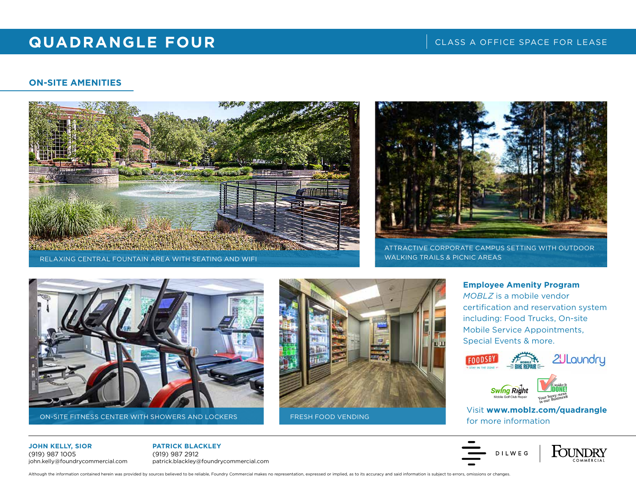## **QUADRANGLE FOUR** CLASS A OFFICE SPACE FOR LEASE

## **ON-SITE AMENITIES**

![](_page_3_Picture_3.jpeg)

RELAXING CENTRAL FOUNTAIN AREA WITH SEATING AND WIFI WALKING TRAILS & PICNIC AREAS

![](_page_3_Picture_5.jpeg)

ATTRACTIVE CORPORATE CAMPUS SETTING WITH OUTDOOR

![](_page_3_Picture_7.jpeg)

ON-SITE FITNESS CENTER WITH SHOWERS AND LOCKERS FRESH FOOD VENDING

![](_page_3_Picture_9.jpeg)

**Employee Amenity Program** *MOBLZ* is a mobile vendor certification and reservation system including: Food Trucks, On-site Mobile Service Appointments, Special Events & more.

![](_page_3_Picture_12.jpeg)

![](_page_3_Picture_13.jpeg)

Visit **www.moblz.com/quadrangle** for more information

**JOHN KELLY, SIOR** (919) 987 1005 john.kelly@foundrycommercial.com

**PATRICK BLACKLEY** (919) 987 2912 patrick.blackley@foundrycommercial.com

![](_page_3_Picture_17.jpeg)

![](_page_3_Picture_18.jpeg)